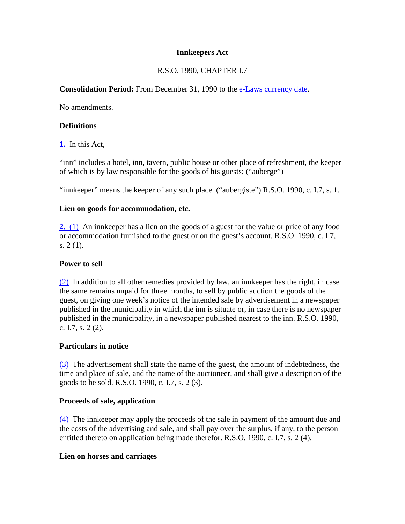#### **Innkeepers Act**

# R.S.O. 1990, CHAPTER I.7

#### **Consolidation Period:** From December 31, 1990 to the e-Laws currency date.

No amendments.

#### **Definitions**

**1.** In this Act,

"inn" includes a hotel, inn, tavern, public house or other place of refreshment, the keeper of which is by law responsible for the goods of his guests; ("auberge")

"innkeeper" means the keeper of any such place. ("aubergiste") R.S.O. 1990, c. I.7, s. 1.

#### **Lien on goods for accommodation, etc.**

**2.** (1) An innkeeper has a lien on the goods of a guest for the value or price of any food or accommodation furnished to the guest or on the guest's account. R.S.O. 1990, c. I.7, s. 2 (1).

#### **Power to sell**

(2) In addition to all other remedies provided by law, an innkeeper has the right, in case the same remains unpaid for three months, to sell by public auction the goods of the guest, on giving one week's notice of the intended sale by advertisement in a newspaper published in the municipality in which the inn is situate or, in case there is no newspaper published in the municipality, in a newspaper published nearest to the inn. R.S.O. 1990, c. I.7, s. 2 (2).

## **Particulars in notice**

(3) The advertisement shall state the name of the guest, the amount of indebtedness, the time and place of sale, and the name of the auctioneer, and shall give a description of the goods to be sold. R.S.O. 1990, c. I.7, s. 2 (3).

## **Proceeds of sale, application**

(4) The innkeeper may apply the proceeds of the sale in payment of the amount due and the costs of the advertising and sale, and shall pay over the surplus, if any, to the person entitled thereto on application being made therefor. R.S.O. 1990, c. I.7, s. 2 (4).

#### **Lien on horses and carriages**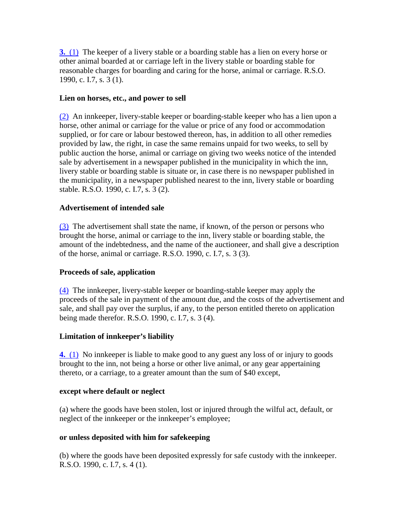**3.** (1) The keeper of a livery stable or a boarding stable has a lien on every horse or other animal boarded at or carriage left in the livery stable or boarding stable for reasonable charges for boarding and caring for the horse, animal or carriage. R.S.O. 1990, c. I.7, s. 3 (1).

#### **Lien on horses, etc., and power to sell**

(2) An innkeeper, livery-stable keeper or boarding-stable keeper who has a lien upon a horse, other animal or carriage for the value or price of any food or accommodation supplied, or for care or labour bestowed thereon, has, in addition to all other remedies provided by law, the right, in case the same remains unpaid for two weeks, to sell by public auction the horse, animal or carriage on giving two weeks notice of the intended sale by advertisement in a newspaper published in the municipality in which the inn, livery stable or boarding stable is situate or, in case there is no newspaper published in the municipality, in a newspaper published nearest to the inn, livery stable or boarding stable. R.S.O. 1990, c. I.7, s. 3 (2).

#### **Advertisement of intended sale**

(3) The advertisement shall state the name, if known, of the person or persons who brought the horse, animal or carriage to the inn, livery stable or boarding stable, the amount of the indebtedness, and the name of the auctioneer, and shall give a description of the horse, animal or carriage. R.S.O. 1990, c. I.7, s. 3 (3).

#### **Proceeds of sale, application**

(4) The innkeeper, livery-stable keeper or boarding-stable keeper may apply the proceeds of the sale in payment of the amount due, and the costs of the advertisement and sale, and shall pay over the surplus, if any, to the person entitled thereto on application being made therefor. R.S.O. 1990, c. I.7, s. 3 (4).

## **Limitation of innkeeper's liability**

**4.** (1) No innkeeper is liable to make good to any guest any loss of or injury to goods brought to the inn, not being a horse or other live animal, or any gear appertaining thereto, or a carriage, to a greater amount than the sum of \$40 except,

#### **except where default or neglect**

(a) where the goods have been stolen, lost or injured through the wilful act, default, or neglect of the innkeeper or the innkeeper's employee;

#### **or unless deposited with him for safekeeping**

(b) where the goods have been deposited expressly for safe custody with the innkeeper. R.S.O. 1990, c. I.7, s. 4 (1).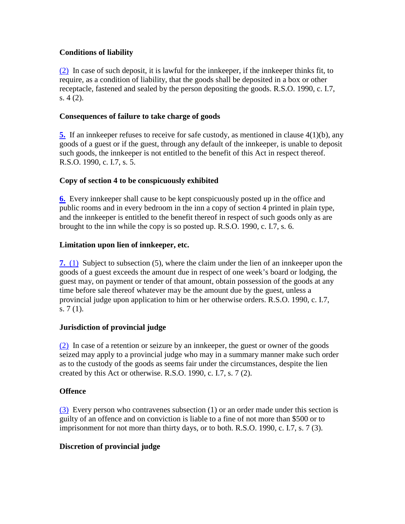## **Conditions of liability**

(2) In case of such deposit, it is lawful for the innkeeper, if the innkeeper thinks fit, to require, as a condition of liability, that the goods shall be deposited in a box or other receptacle, fastened and sealed by the person depositing the goods. R.S.O. 1990, c. I.7, s. 4 (2).

## **Consequences of failure to take charge of goods**

**5.** If an innkeeper refuses to receive for safe custody, as mentioned in clause 4(1)(b), any goods of a guest or if the guest, through any default of the innkeeper, is unable to deposit such goods, the innkeeper is not entitled to the benefit of this Act in respect thereof. R.S.O. 1990, c. I.7, s. 5.

# **Copy of section 4 to be conspicuously exhibited**

**6.** Every innkeeper shall cause to be kept conspicuously posted up in the office and public rooms and in every bedroom in the inn a copy of section 4 printed in plain type, and the innkeeper is entitled to the benefit thereof in respect of such goods only as are brought to the inn while the copy is so posted up. R.S.O. 1990, c. I.7, s. 6.

## **Limitation upon lien of innkeeper, etc.**

**7.** (1) Subject to subsection (5), where the claim under the lien of an innkeeper upon the goods of a guest exceeds the amount due in respect of one week's board or lodging, the guest may, on payment or tender of that amount, obtain possession of the goods at any time before sale thereof whatever may be the amount due by the guest, unless a provincial judge upon application to him or her otherwise orders. R.S.O. 1990, c. I.7, s.  $7(1)$ .

## **Jurisdiction of provincial judge**

(2) In case of a retention or seizure by an innkeeper, the guest or owner of the goods seized may apply to a provincial judge who may in a summary manner make such order as to the custody of the goods as seems fair under the circumstances, despite the lien created by this Act or otherwise. R.S.O. 1990, c. I.7, s. 7 (2).

## **Offence**

(3) Every person who contravenes subsection (1) or an order made under this section is guilty of an offence and on conviction is liable to a fine of not more than \$500 or to imprisonment for not more than thirty days, or to both. R.S.O. 1990, c. I.7, s. 7 (3).

## **Discretion of provincial judge**